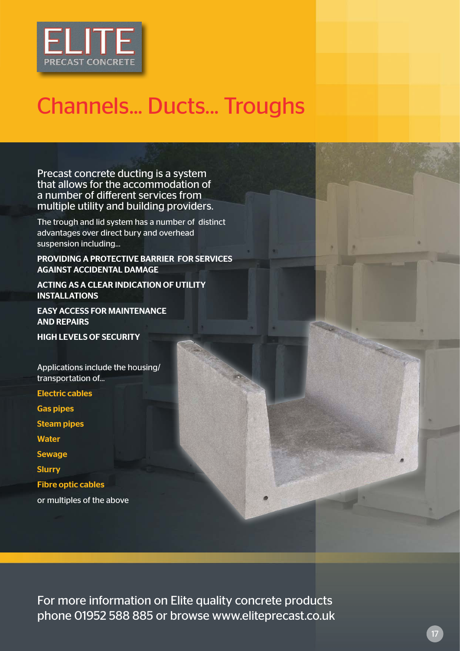

## Channels... Ducts... Troughs

Precast concrete ducting is a system that allows for the accommodation of a number of different services from multiple utility and building providers.

The trough and lid system has a number of distinct advantages over direct bury and overhead suspension including...

PROVIDING A PROTECTIVE BARRIER FOR SERVICES AGAINST ACCIDENTAL DAMAGE

ACTING AS A CLEAR INDICATION OF UTILITY **INSTALLATIONS** 

EASY ACCESS FOR MAINTENANCE AND REPAIRS

HIGH LEVELS OF SECURITY

Applications include the housing/ transportation of...

Electric cables Gas pipes Steam pipes **Water Sewage** Slurry Fibre optic cables or multiples of the above

For more information on Elite quality concrete products phone 01952 588 885 or browse www.eliteprecast.co.uk